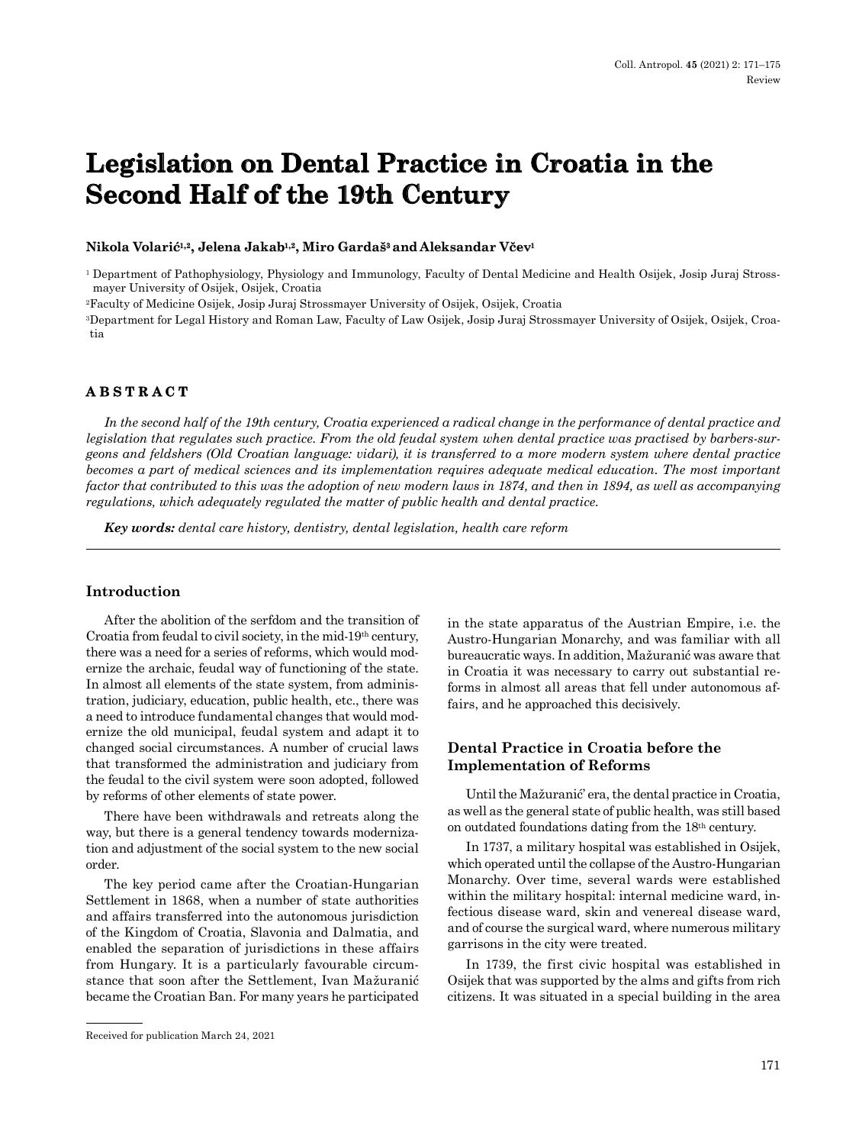# **Legislation on Dental Practice in Croatia in the Second Half of the 19th Century**

#### **Nikola Volarić1,2, Jelena Jakab1,2, Miro Gardaš3 andAleksandar Včev<sup>1</sup>**

<sup>1</sup> Department of Pathophysiology, Physiology and Immunology, Faculty of Dental Medicine and Health Osijek, Josip Juraj Strossmayer University of Osijek, Osijek, Croatia

2Faculty of Medicine Osijek, Josip Juraj Strossmayer University of Osijek, Osijek, Croatia

3Department for Legal History and Roman Law, Faculty of Law Osijek, Josip Juraj Strossmayer University of Osijek, Osijek, Croatia

# **ABSTRACT**

*In the second half of the 19th century, Croatia experienced a radical change in the performance of dental practice and legislation that regulates such practice. From the old feudal system when dental practice was practised by barbers-surgeons and feldshers (Old Croatian language: vidari), it is transferred to a more modern system where dental practice becomes a part of medical sciences and its implementation requires adequate medical education. The most important factor that contributed to this was the adoption of new modern laws in 1874, and then in 1894, as well as accompanying regulations, which adequately regulated the matter of public health and dental practice.*

*Key words: dental care history, dentistry, dental legislation, health care reform*

## **Introduction**

After the abolition of the serfdom and the transition of Croatia from feudal to civil society, in the mid-19th century, there was a need for a series of reforms, which would modernize the archaic, feudal way of functioning of the state. In almost all elements of the state system, from administration, judiciary, education, public health, etc., there was a need to introduce fundamental changes that would modernize the old municipal, feudal system and adapt it to changed social circumstances. A number of crucial laws that transformed the administration and judiciary from the feudal to the civil system were soon adopted, followed by reforms of other elements of state power.

There have been withdrawals and retreats along the way, but there is a general tendency towards modernization and adjustment of the social system to the new social order.

The key period came after the Croatian-Hungarian Settlement in 1868, when a number of state authorities and affairs transferred into the autonomous jurisdiction of the Kingdom of Croatia, Slavonia and Dalmatia, and enabled the separation of jurisdictions in these affairs from Hungary. It is a particularly favourable circumstance that soon after the Settlement, Ivan Mažuranić became the Croatian Ban. For many years he participated in the state apparatus of the Austrian Empire, i.e. the Austro-Hungarian Monarchy, and was familiar with all bureaucratic ways. In addition, Mažuranić was aware that in Croatia it was necessary to carry out substantial reforms in almost all areas that fell under autonomous affairs, and he approached this decisively.

# **Dental Practice in Croatia before the Implementation of Reforms**

Until the Mažuranić' era, the dental practice in Croatia, as well as the general state of public health, was still based on outdated foundations dating from the 18th century.

In 1737, a military hospital was established in Osijek, which operated until the collapse of the Austro-Hungarian Monarchy. Over time, several wards were established within the military hospital: internal medicine ward, infectious disease ward, skin and venereal disease ward, and of course the surgical ward, where numerous military garrisons in the city were treated.

In 1739, the first civic hospital was established in Osijek that was supported by the alms and gifts from rich citizens. It was situated in a special building in the area

Received for publication March 24, 2021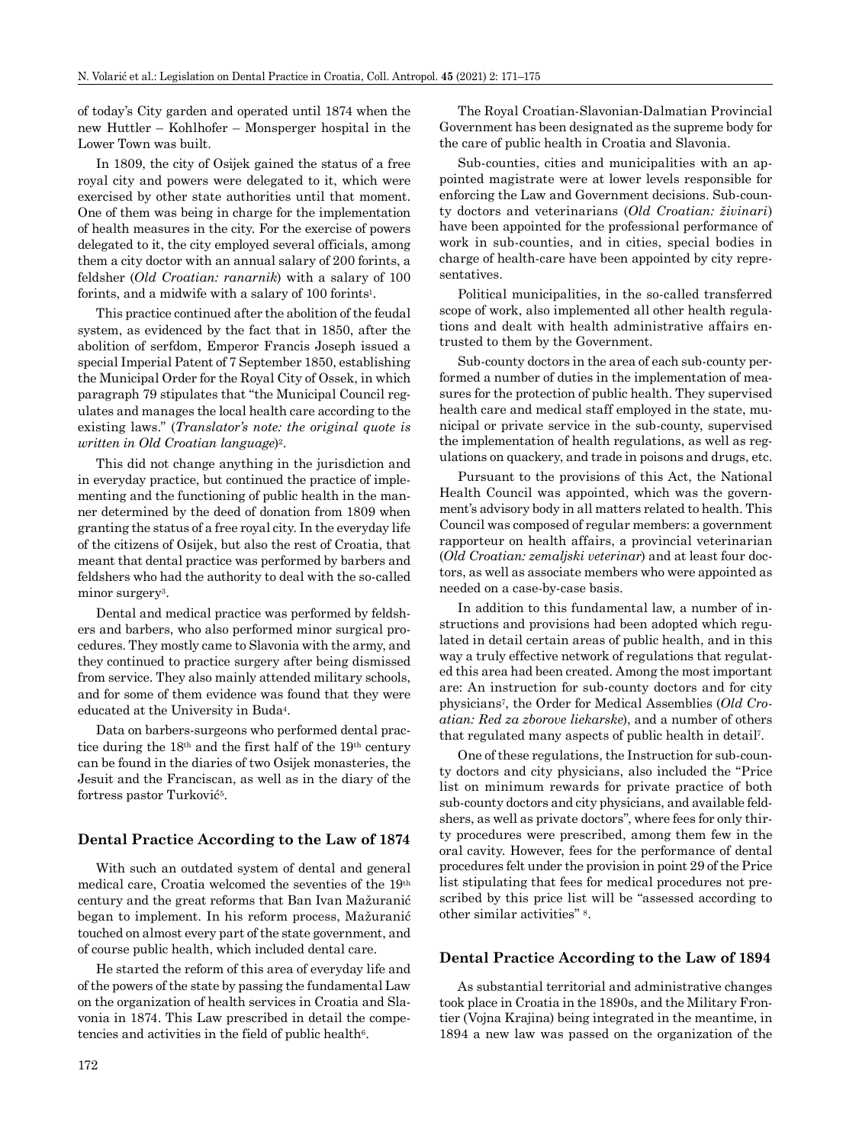of today's City garden and operated until 1874 when the new Huttler – Kohlhofer – Monsperger hospital in the Lower Town was built.

In 1809, the city of Osijek gained the status of a free royal city and powers were delegated to it, which were exercised by other state authorities until that moment. One of them was being in charge for the implementation of health measures in the city. For the exercise of powers delegated to it, the city employed several officials, among them a city doctor with an annual salary of 200 forints, a feldsher (*Old Croatian: ranarnik*) with a salary of 100 forints, and a midwife with a salary of 100 forints1.

This practice continued after the abolition of the feudal system, as evidenced by the fact that in 1850, after the abolition of serfdom, Emperor Francis Joseph issued a special Imperial Patent of 7 September 1850, establishing the Municipal Order for the Royal City of Ossek, in which paragraph 79 stipulates that "the Municipal Council regulates and manages the local health care according to the existing laws." (*Translator's note: the original quote is written in Old Croatian language*)2.

This did not change anything in the jurisdiction and in everyday practice, but continued the practice of implementing and the functioning of public health in the manner determined by the deed of donation from 1809 when granting the status of a free royal city. In the everyday life of the citizens of Osijek, but also the rest of Croatia, that meant that dental practice was performed by barbers and feldshers who had the authority to deal with the so-called minor surgery<sup>3</sup>.

Dental and medical practice was performed by feldshers and barbers, who also performed minor surgical procedures. They mostly came to Slavonia with the army, and they continued to practice surgery after being dismissed from service. They also mainly attended military schools, and for some of them evidence was found that they were educated at the University in Buda4.

Data on barbers-surgeons who performed dental practice during the 18th and the first half of the 19th century can be found in the diaries of two Osijek monasteries, the Jesuit and the Franciscan, as well as in the diary of the fortress pastor Turković5.

#### **Dental Practice According to the Law of 1874**

With such an outdated system of dental and general medical care, Croatia welcomed the seventies of the 19th century and the great reforms that Ban Ivan Mažuranić began to implement. In his reform process, Mažuranić touched on almost every part of the state government, and of course public health, which included dental care.

He started the reform of this area of everyday life and of the powers of the state by passing the fundamental Law on the organization of health services in Croatia and Slavonia in 1874. This Law prescribed in detail the competencies and activities in the field of public health $6$ .

The Royal Croatian-Slavonian-Dalmatian Provincial Government has been designated as the supreme body for the care of public health in Croatia and Slavonia.

Sub-counties, cities and municipalities with an appointed magistrate were at lower levels responsible for enforcing the Law and Government decisions. Sub-county doctors and veterinarians (*Old Croatian: živinari*) have been appointed for the professional performance of work in sub-counties, and in cities, special bodies in charge of health-care have been appointed by city representatives.

Political municipalities, in the so-called transferred scope of work, also implemented all other health regulations and dealt with health administrative affairs entrusted to them by the Government.

Sub-county doctors in the area of each sub-county performed a number of duties in the implementation of measures for the protection of public health. They supervised health care and medical staff employed in the state, municipal or private service in the sub-county, supervised the implementation of health regulations, as well as regulations on quackery, and trade in poisons and drugs, etc.

Pursuant to the provisions of this Act, the National Health Council was appointed, which was the government's advisory body in all matters related to health. This Council was composed of regular members: a government rapporteur on health affairs, a provincial veterinarian (*Old Croatian: zemaljski veterinar*) and at least four doctors, as well as associate members who were appointed as needed on a case-by-case basis.

In addition to this fundamental law, a number of instructions and provisions had been adopted which regulated in detail certain areas of public health, and in this way a truly effective network of regulations that regulated this area had been created. Among the most important are: An instruction for sub-county doctors and for city physicians7, the Order for Medical Assemblies (*Old Croatian: Red za zborove liekarske*), and a number of others that regulated many aspects of public health in detail7.

One of these regulations, the Instruction for sub-county doctors and city physicians, also included the "Price list on minimum rewards for private practice of both sub-county doctors and city physicians, and available feldshers, as well as private doctors", where fees for only thirty procedures were prescribed, among them few in the oral cavity. However, fees for the performance of dental procedures felt under the provision in point 29 of the Price list stipulating that fees for medical procedures not prescribed by this price list will be "assessed according to other similar activities" 8.

#### **Dental Practice According to the Law of 1894**

As substantial territorial and administrative changes took place in Croatia in the 1890s, and the Military Frontier (Vojna Krajina) being integrated in the meantime, in 1894 a new law was passed on the organization of the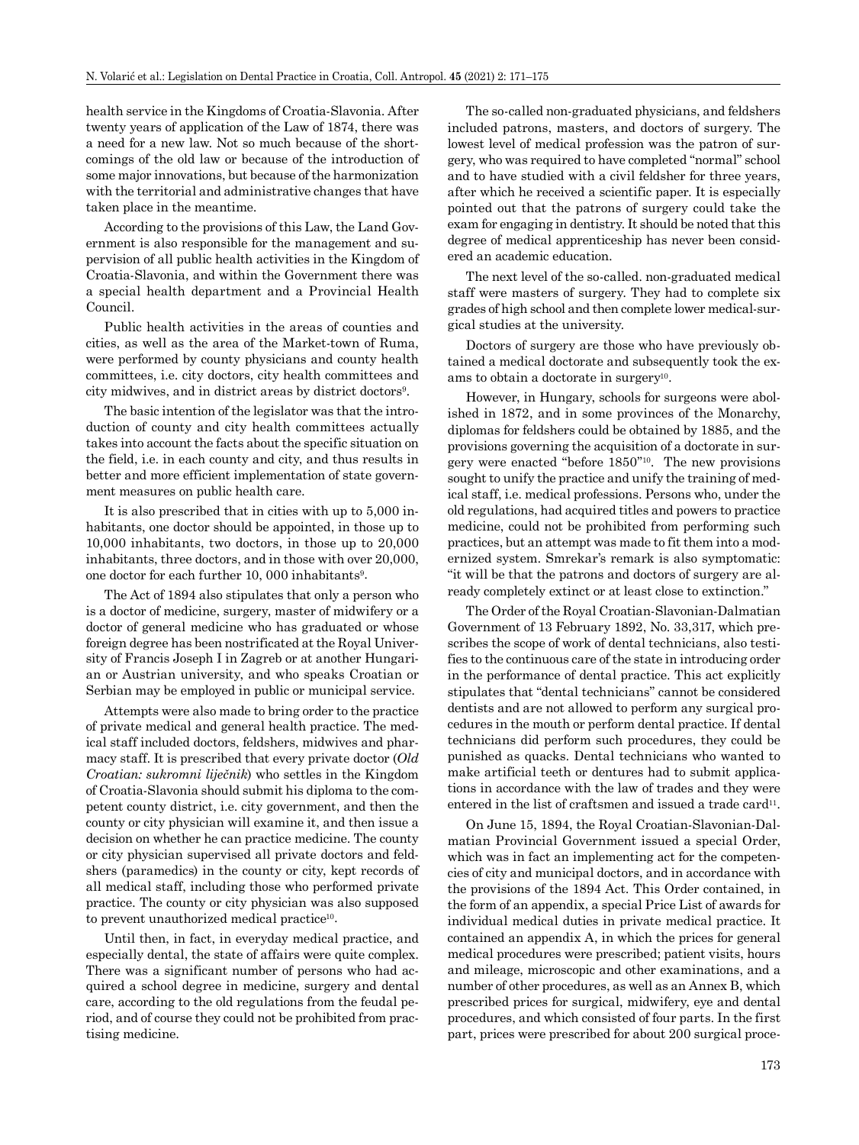health service in the Kingdoms of Croatia-Slavonia. After twenty years of application of the Law of 1874, there was a need for a new law. Not so much because of the shortcomings of the old law or because of the introduction of some major innovations, but because of the harmonization with the territorial and administrative changes that have taken place in the meantime.

According to the provisions of this Law, the Land Government is also responsible for the management and supervision of all public health activities in the Kingdom of Croatia-Slavonia, and within the Government there was a special health department and a Provincial Health Council.

Public health activities in the areas of counties and cities, as well as the area of the Market-town of Ruma, were performed by county physicians and county health committees, i.e. city doctors, city health committees and city midwives, and in district areas by district doctors<sup>9</sup>.

The basic intention of the legislator was that the introduction of county and city health committees actually takes into account the facts about the specific situation on the field, i.e. in each county and city, and thus results in better and more efficient implementation of state government measures on public health care.

It is also prescribed that in cities with up to 5,000 inhabitants, one doctor should be appointed, in those up to 10,000 inhabitants, two doctors, in those up to 20,000 inhabitants, three doctors, and in those with over 20,000, one doctor for each further 10, 000 inhabitants9.

The Act of 1894 also stipulates that only a person who is a doctor of medicine, surgery, master of midwifery or a doctor of general medicine who has graduated or whose foreign degree has been nostrificated at the Royal University of Francis Joseph I in Zagreb or at another Hungarian or Austrian university, and who speaks Croatian or Serbian may be employed in public or municipal service.

Attempts were also made to bring order to the practice of private medical and general health practice. The medical staff included doctors, feldshers, midwives and pharmacy staff. It is prescribed that every private doctor (*Old Croatian: sukromni liječnik*) who settles in the Kingdom of Croatia-Slavonia should submit his diploma to the competent county district, i.e. city government, and then the county or city physician will examine it, and then issue a decision on whether he can practice medicine. The county or city physician supervised all private doctors and feldshers (paramedics) in the county or city, kept records of all medical staff, including those who performed private practice. The county or city physician was also supposed to prevent unauthorized medical practice10.

Until then, in fact, in everyday medical practice, and especially dental, the state of affairs were quite complex. There was a significant number of persons who had acquired a school degree in medicine, surgery and dental care, according to the old regulations from the feudal period, and of course they could not be prohibited from practising medicine.

The so-called non-graduated physicians, and feldshers included patrons, masters, and doctors of surgery. The lowest level of medical profession was the patron of surgery, who was required to have completed "normal" school and to have studied with a civil feldsher for three years, after which he received a scientific paper. It is especially pointed out that the patrons of surgery could take the exam for engaging in dentistry. It should be noted that this degree of medical apprenticeship has never been considered an academic education.

The next level of the so-called. non-graduated medical staff were masters of surgery. They had to complete six grades of high school and then complete lower medical-surgical studies at the university.

Doctors of surgery are those who have previously obtained a medical doctorate and subsequently took the exams to obtain a doctorate in surgery<sup>10</sup>.

However, in Hungary, schools for surgeons were abolished in 1872, and in some provinces of the Monarchy, diplomas for feldshers could be obtained by 1885, and the provisions governing the acquisition of a doctorate in surgery were enacted "before 1850"10. The new provisions sought to unify the practice and unify the training of medical staff, i.e. medical professions. Persons who, under the old regulations, had acquired titles and powers to practice medicine, could not be prohibited from performing such practices, but an attempt was made to fit them into a modernized system. Smrekar's remark is also symptomatic: "it will be that the patrons and doctors of surgery are already completely extinct or at least close to extinction."

The Order of the Royal Croatian-Slavonian-Dalmatian Government of 13 February 1892, No. 33,317, which prescribes the scope of work of dental technicians, also testifies to the continuous care of the state in introducing order in the performance of dental practice. This act explicitly stipulates that "dental technicians" cannot be considered dentists and are not allowed to perform any surgical procedures in the mouth or perform dental practice. If dental technicians did perform such procedures, they could be punished as quacks. Dental technicians who wanted to make artificial teeth or dentures had to submit applications in accordance with the law of trades and they were entered in the list of craftsmen and issued a trade card<sup>11</sup>.

On June 15, 1894, the Royal Croatian-Slavonian-Dalmatian Provincial Government issued a special Order, which was in fact an implementing act for the competencies of city and municipal doctors, and in accordance with the provisions of the 1894 Act. This Order contained, in the form of an appendix, a special Price List of awards for individual medical duties in private medical practice. It contained an appendix A, in which the prices for general medical procedures were prescribed; patient visits, hours and mileage, microscopic and other examinations, and a number of other procedures, as well as an Annex B, which prescribed prices for surgical, midwifery, eye and dental procedures, and which consisted of four parts. In the first part, prices were prescribed for about 200 surgical proce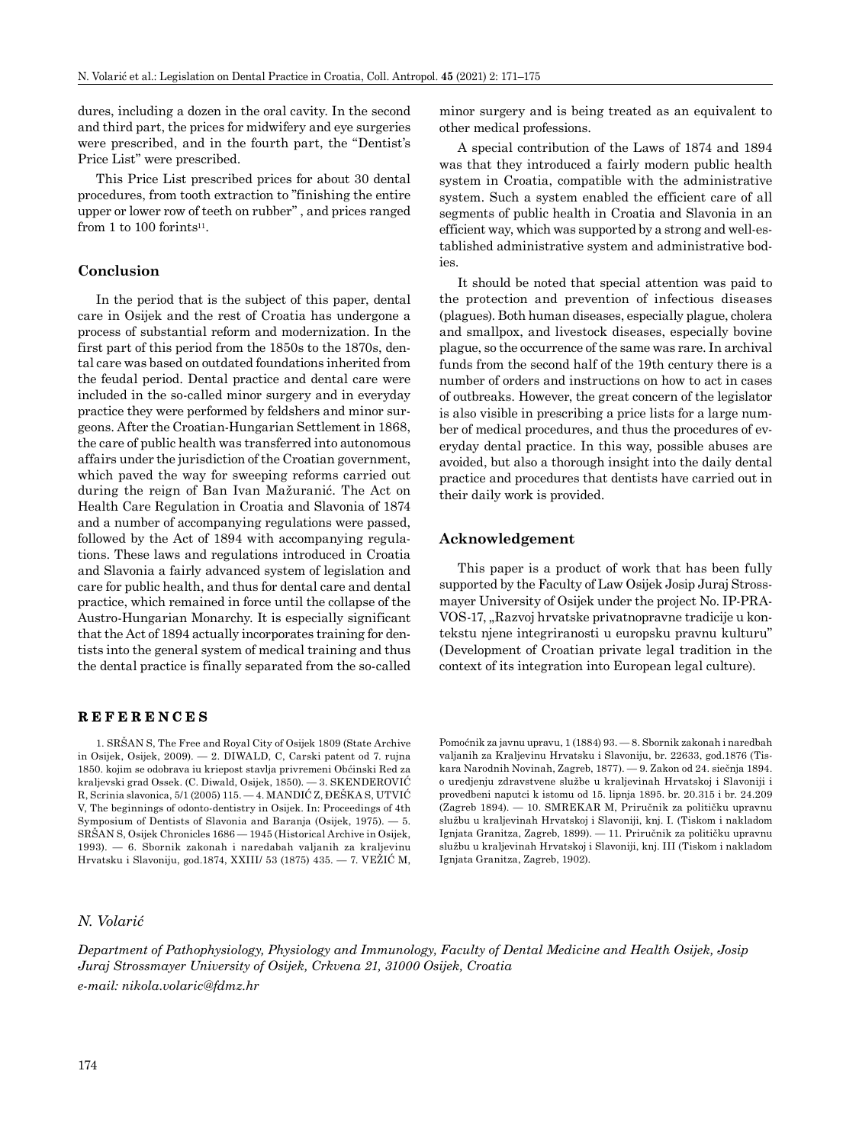dures, including a dozen in the oral cavity. In the second and third part, the prices for midwifery and eye surgeries were prescribed, and in the fourth part, the "Dentist's Price List" were prescribed.

This Price List prescribed prices for about 30 dental procedures, from tooth extraction to "finishing the entire upper or lower row of teeth on rubber" , and prices ranged from 1 to 100 forints $11$ .

#### **Conclusion**

In the period that is the subject of this paper, dental care in Osijek and the rest of Croatia has undergone a process of substantial reform and modernization. In the first part of this period from the 1850s to the 1870s, dental care was based on outdated foundations inherited from the feudal period. Dental practice and dental care were included in the so-called minor surgery and in everyday practice they were performed by feldshers and minor surgeons. After the Croatian-Hungarian Settlement in 1868, the care of public health was transferred into autonomous affairs under the jurisdiction of the Croatian government, which paved the way for sweeping reforms carried out during the reign of Ban Ivan Mažuranić. The Act on Health Care Regulation in Croatia and Slavonia of 1874 and a number of accompanying regulations were passed, followed by the Act of 1894 with accompanying regulations. These laws and regulations introduced in Croatia and Slavonia a fairly advanced system of legislation and care for public health, and thus for dental care and dental practice, which remained in force until the collapse of the Austro-Hungarian Monarchy. It is especially significant that the Act of 1894 actually incorporates training for dentists into the general system of medical training and thus the dental practice is finally separated from the so-called

#### **REFERENCES**

1. SRŠAN S, The Free and Royal City of Osijek 1809 (State Archive in Osijek, Osijek, 2009). — 2. DIWALD, C, Carski patent od 7. rujna 1850. kojim se odobrava iu kriepost stavlja privremeni Obćinski Red za kraljevski grad Ossek. (C. Diwald, Osijek, 1850). — 3. SKENDEROVIĆ R, Scrinia slavonica, 5/1 (2005) 115. — 4. MANDIĆ Z, ĐEŠKA S, UTVIĆ V, The beginnings of odonto-dentistry in Osijek. In: Proceedings of 4th Symposium of Dentists of Slavonia and Baranja (Osijek, 1975). — 5. SRŠAN S, Osijek Chronicles 1686 — 1945 (Historical Archive in Osijek, 1993). — 6. Sbornik zakonah i naredabah valjanih za kraljevinu Hrvatsku i Slavoniju, god.1874, XXIII/ 53 (1875) 435. — 7. VEŽIĆ M,

# *N. Volarić*

minor surgery and is being treated as an equivalent to other medical professions.

A special contribution of the Laws of 1874 and 1894 was that they introduced a fairly modern public health system in Croatia, compatible with the administrative system. Such a system enabled the efficient care of all segments of public health in Croatia and Slavonia in an efficient way, which was supported by a strong and well-established administrative system and administrative bodies.

It should be noted that special attention was paid to the protection and prevention of infectious diseases (plagues). Both human diseases, especially plague, cholera and smallpox, and livestock diseases, especially bovine plague, so the occurrence of the same was rare. In archival funds from the second half of the 19th century there is a number of orders and instructions on how to act in cases of outbreaks. However, the great concern of the legislator is also visible in prescribing a price lists for a large number of medical procedures, and thus the procedures of everyday dental practice. In this way, possible abuses are avoided, but also a thorough insight into the daily dental practice and procedures that dentists have carried out in their daily work is provided.

#### **Acknowledgement**

This paper is a product of work that has been fully supported by the Faculty of Law Osijek Josip Juraj Strossmayer University of Osijek under the project No. IP-PRA-VOS-17, "Razvoj hrvatske privatnopravne tradicije u kontekstu njene integriranosti u europsku pravnu kulturu" (Development of Croatian private legal tradition in the context of its integration into European legal culture).

Pomoćnik za javnu upravu, 1 (1884) 93. — 8. Sbornik zakonah i naredbah valjanih za Kraljevinu Hrvatsku i Slavoniju, br. 22633, god.1876 (Tiskara Narodnih Novinah, Zagreb, 1877). — 9. Zakon od 24. siečnja 1894. o uredjenju zdravstvene službe u kraljevinah Hrvatskoj i Slavoniji i provedbeni naputci k istomu od 15. lipnja 1895. br. 20.315 i br. 24.209 (Zagreb 1894). — 10. SMREKAR M, Priručnik za političku upravnu službu u kraljevinah Hrvatskoj i Slavoniji, knj. I. (Tiskom i nakladom Ignjata Granitza, Zagreb, 1899). — 11. Priručnik za političku upravnu službu u kraljevinah Hrvatskoj i Slavoniji, knj. III (Tiskom i nakladom Ignjata Granitza, Zagreb, 1902).

*Department of Pathophysiology, Physiology and Immunology, Faculty of Dental Medicine and Health Osijek, Josip Juraj Strossmayer University of Osijek, Crkvena 21, 31000 Osijek, Croatia e-mail: nikola.volaric@fdmz.hr*